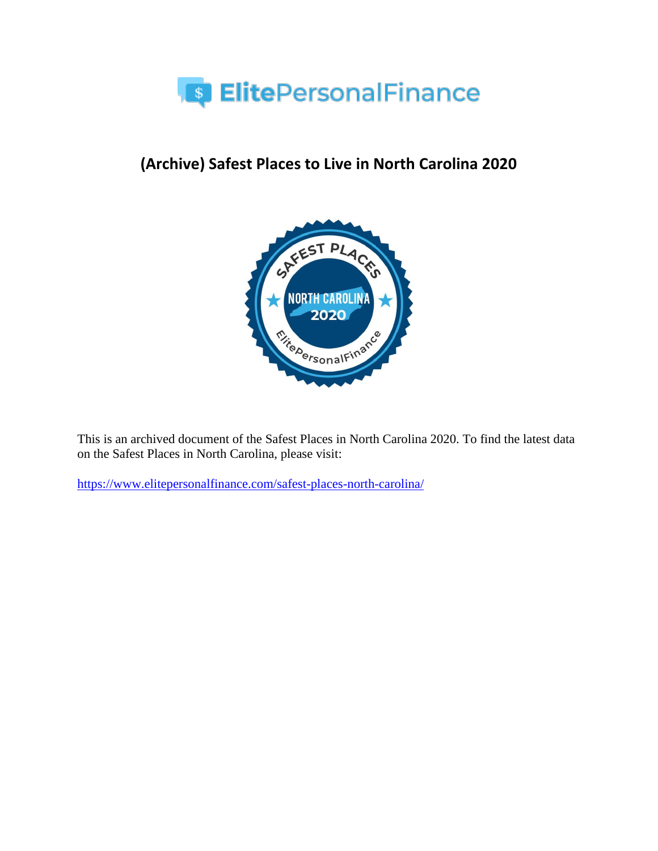

# **(Archive) Safest Places to Live in North Carolina 2020**



This is an archived document of the Safest Places in North Carolina 2020. To find the latest data on the Safest Places in North Carolina, please visit:

<https://www.elitepersonalfinance.com/safest-places-north-carolina/>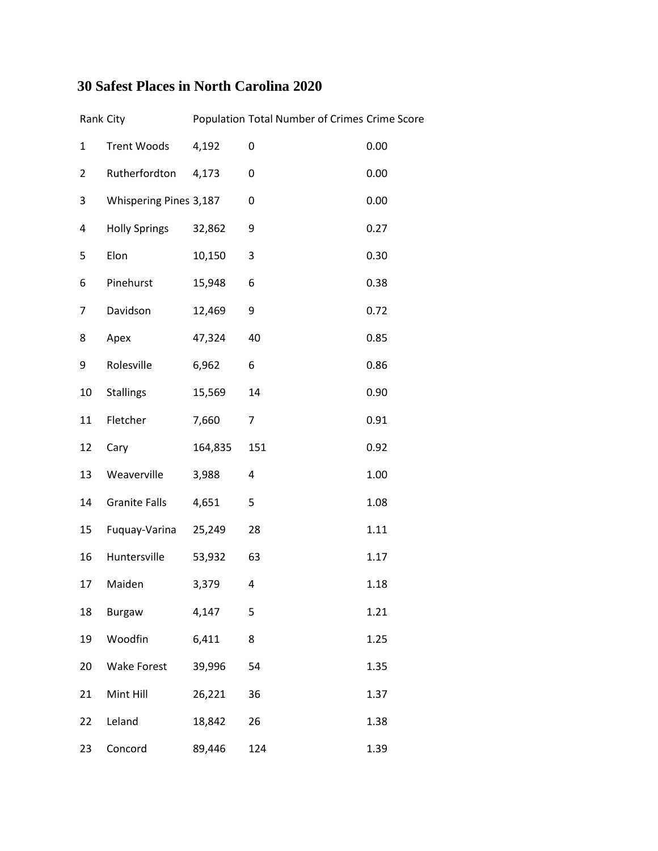### **30 Safest Places in North Carolina 2020**

|                | Rank City              |         | Population Total Number of Crimes Crime Score |      |
|----------------|------------------------|---------|-----------------------------------------------|------|
| $\mathbf{1}$   | <b>Trent Woods</b>     | 4,192   | 0                                             | 0.00 |
| $\overline{2}$ | Rutherfordton          | 4,173   | 0                                             | 0.00 |
| 3              | Whispering Pines 3,187 |         | 0                                             | 0.00 |
| 4              | <b>Holly Springs</b>   | 32,862  | 9                                             | 0.27 |
| 5              | Elon                   | 10,150  | 3                                             | 0.30 |
| 6              | Pinehurst              | 15,948  | 6                                             | 0.38 |
| 7              | Davidson               | 12,469  | 9                                             | 0.72 |
| 8              | Apex                   | 47,324  | 40                                            | 0.85 |
| 9              | Rolesville             | 6,962   | 6                                             | 0.86 |
| 10             | <b>Stallings</b>       | 15,569  | 14                                            | 0.90 |
| 11             | Fletcher               | 7,660   | 7                                             | 0.91 |
| 12             | Cary                   | 164,835 | 151                                           | 0.92 |
| 13             | Weaverville            | 3,988   | 4                                             | 1.00 |
| 14             | <b>Granite Falls</b>   | 4,651   | 5                                             | 1.08 |
| 15             | Fuquay-Varina          | 25,249  | 28                                            | 1.11 |
| 16             | Huntersville           | 53,932  | 63                                            | 1.17 |
| 17             | Maiden                 | 3,379   | 4                                             | 1.18 |
| 18             | Burgaw                 | 4,147   | 5                                             | 1.21 |
| 19             | Woodfin                | 6,411   | 8                                             | 1.25 |
| 20             | <b>Wake Forest</b>     | 39,996  | 54                                            | 1.35 |
| 21             | Mint Hill              | 26,221  | 36                                            | 1.37 |
| 22             | Leland                 | 18,842  | 26                                            | 1.38 |
| 23             | Concord                | 89,446  | 124                                           | 1.39 |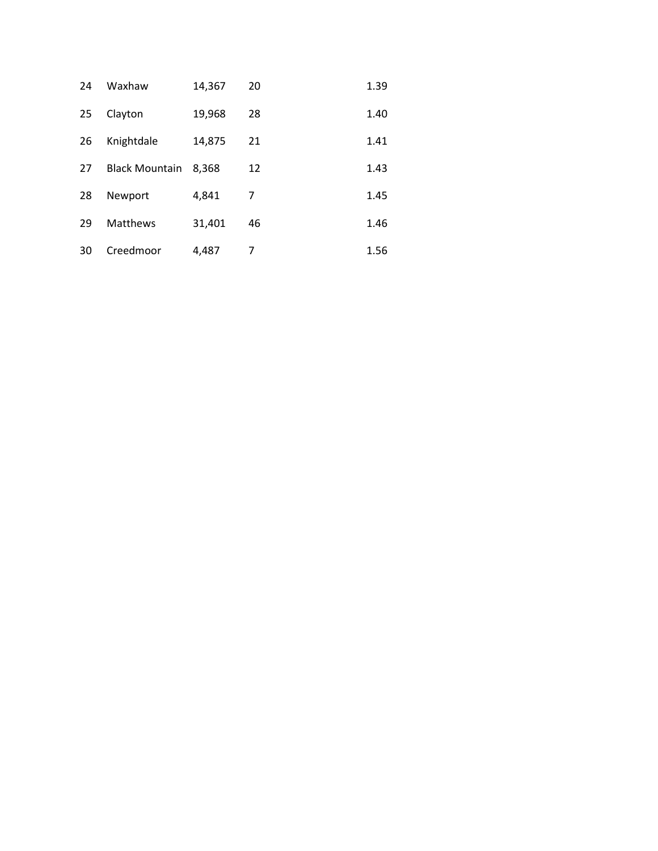| 24 | Waxhaw                | 14,367 | 20 | 1.39 |
|----|-----------------------|--------|----|------|
| 25 | Clayton               | 19,968 | 28 | 1.40 |
| 26 | Knightdale            | 14,875 | 21 | 1.41 |
| 27 | <b>Black Mountain</b> | 8,368  | 12 | 1.43 |
| 28 | Newport               | 4,841  | 7  | 1.45 |
| 29 | <b>Matthews</b>       | 31,401 | 46 | 1.46 |
| 30 | Creedmoor             | 4.487  | 7  | 1.56 |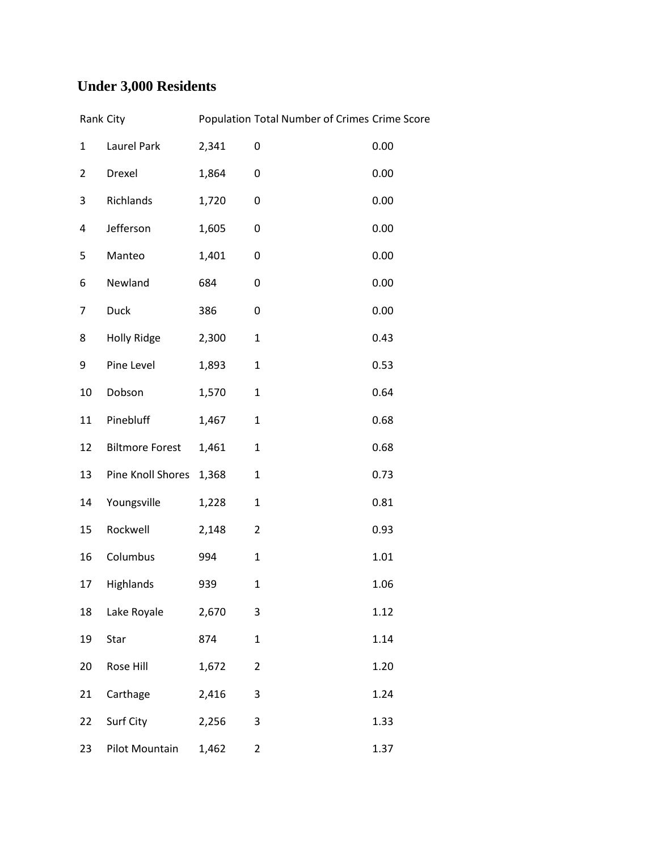## **Under 3,000 Residents**

|                | Rank City              |       | Population Total Number of Crimes Crime Score |      |
|----------------|------------------------|-------|-----------------------------------------------|------|
| $\mathbf{1}$   | Laurel Park            | 2,341 | 0                                             | 0.00 |
| $\overline{2}$ | Drexel                 | 1,864 | 0                                             | 0.00 |
| 3              | Richlands              | 1,720 | 0                                             | 0.00 |
| 4              | Jefferson              | 1,605 | 0                                             | 0.00 |
| 5              | Manteo                 | 1,401 | 0                                             | 0.00 |
| 6              | Newland                | 684   | 0                                             | 0.00 |
| 7              | <b>Duck</b>            | 386   | 0                                             | 0.00 |
| 8              | <b>Holly Ridge</b>     | 2,300 | $\mathbf 1$                                   | 0.43 |
| 9              | Pine Level             | 1,893 | $\mathbf{1}$                                  | 0.53 |
| 10             | Dobson                 | 1,570 | $\mathbf 1$                                   | 0.64 |
| 11             | Pinebluff              | 1,467 | $\mathbf{1}$                                  | 0.68 |
| 12             | <b>Biltmore Forest</b> | 1,461 | $\mathbf{1}$                                  | 0.68 |
| 13             | Pine Knoll Shores      | 1,368 | $\mathbf{1}$                                  | 0.73 |
| 14             | Youngsville            | 1,228 | $\mathbf{1}$                                  | 0.81 |
| 15             | Rockwell               | 2,148 | $\overline{2}$                                | 0.93 |
| 16             | Columbus               | 994   | $\mathbf{1}$                                  | 1.01 |
| 17             | Highlands              | 939   | $\mathbf{1}$                                  | 1.06 |
| 18             | Lake Royale            | 2,670 | 3                                             | 1.12 |
| 19             | Star                   | 874   | $\mathbf{1}$                                  | 1.14 |
| 20             | Rose Hill              | 1,672 | 2                                             | 1.20 |
| 21             | Carthage               | 2,416 | 3                                             | 1.24 |
| 22             | Surf City              | 2,256 | 3                                             | 1.33 |
| 23             | Pilot Mountain         | 1,462 | $\overline{2}$                                | 1.37 |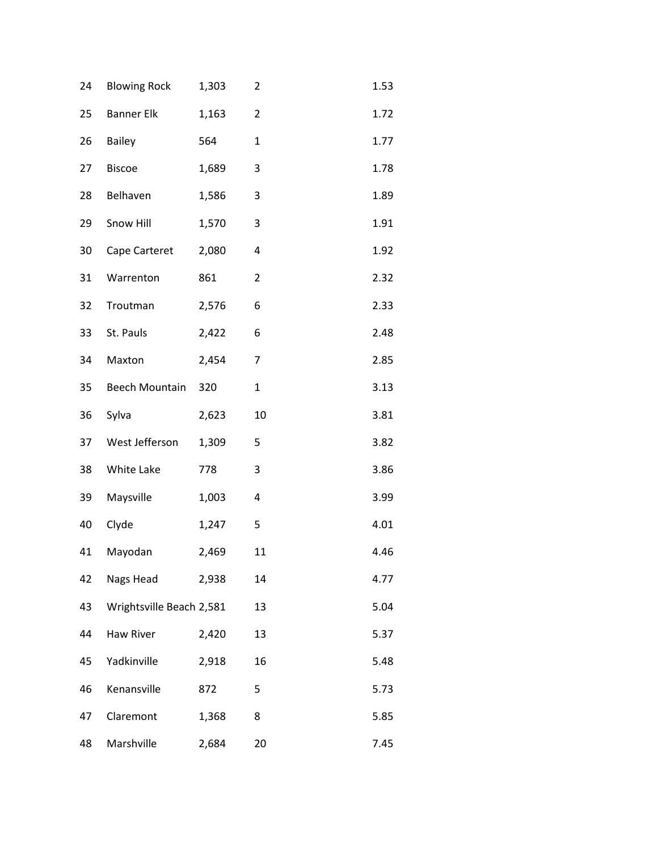| 24 | <b>Blowing Rock</b>      | 1,303 | $\overline{2}$ | 1.53 |
|----|--------------------------|-------|----------------|------|
| 25 | <b>Banner Elk</b>        | 1,163 | $\overline{2}$ | 1.72 |
| 26 | <b>Bailey</b>            | 564   | 1              | 1.77 |
| 27 | <b>Biscoe</b>            | 1,689 | 3              | 1.78 |
| 28 | Belhaven                 | 1,586 | 3              | 1.89 |
| 29 | Snow Hill                | 1,570 | 3              | 1.91 |
| 30 | Cape Carteret            | 2,080 | 4              | 1.92 |
| 31 | Warrenton                | 861   | $\overline{2}$ | 2.32 |
| 32 | Troutman                 | 2,576 | 6              | 2.33 |
| 33 | St. Pauls                | 2,422 | 6              | 2.48 |
| 34 | Maxton                   | 2,454 | $\overline{7}$ | 2.85 |
| 35 | Beech Mountain           | 320   | $\mathbf{1}$   | 3.13 |
| 36 | Sylva                    | 2,623 | 10             | 3.81 |
| 37 | West Jefferson           | 1,309 | 5              | 3.82 |
| 38 | White Lake               | 778   | 3              | 3.86 |
| 39 | Maysville                | 1,003 | 4              | 3.99 |
| 40 | Clyde                    | 1,247 | 5              | 4.01 |
| 41 | Mayodan                  | 2,469 | 11             | 4.46 |
| 42 | Nags Head                | 2,938 | 14             | 4.77 |
| 43 | Wrightsville Beach 2,581 |       | 13             | 5.04 |
| 44 | <b>Haw River</b>         | 2,420 | 13             | 5.37 |
| 45 | Yadkinville              | 2,918 | 16             | 5.48 |
| 46 | Kenansville              | 872   | 5              | 5.73 |
| 47 | Claremont                | 1,368 | 8              | 5.85 |
| 48 | Marshville               | 2,684 | 20             | 7.45 |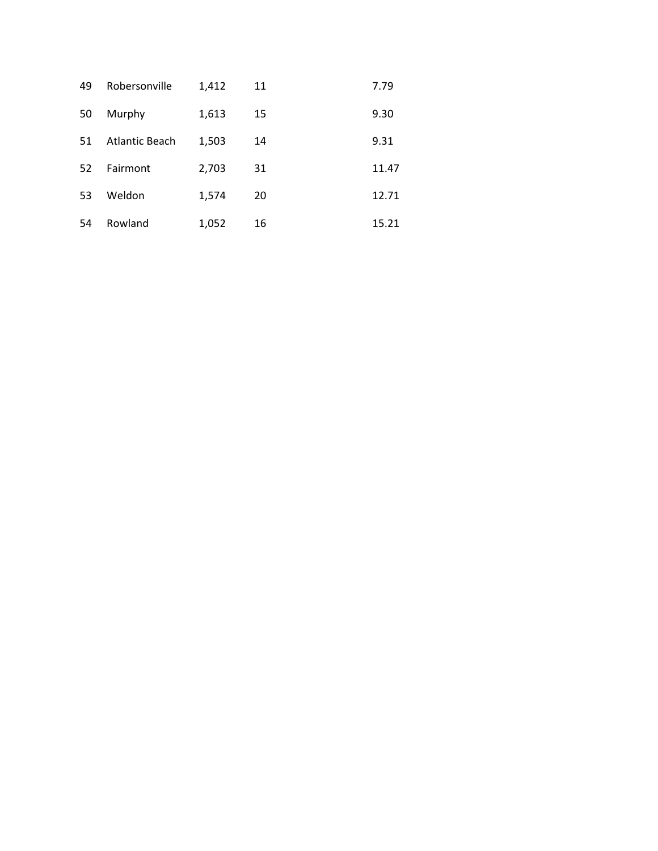| 49 | Robersonville         | 1,412 | 11 | 7.79  |
|----|-----------------------|-------|----|-------|
| 50 | Murphy                | 1,613 | 15 | 9.30  |
| 51 | <b>Atlantic Beach</b> | 1,503 | 14 | 9.31  |
| 52 | Fairmont              | 2,703 | 31 | 11.47 |
| 53 | Weldon                | 1,574 | 20 | 12.71 |
| 54 | Rowland               | 1,052 | 16 | 15.21 |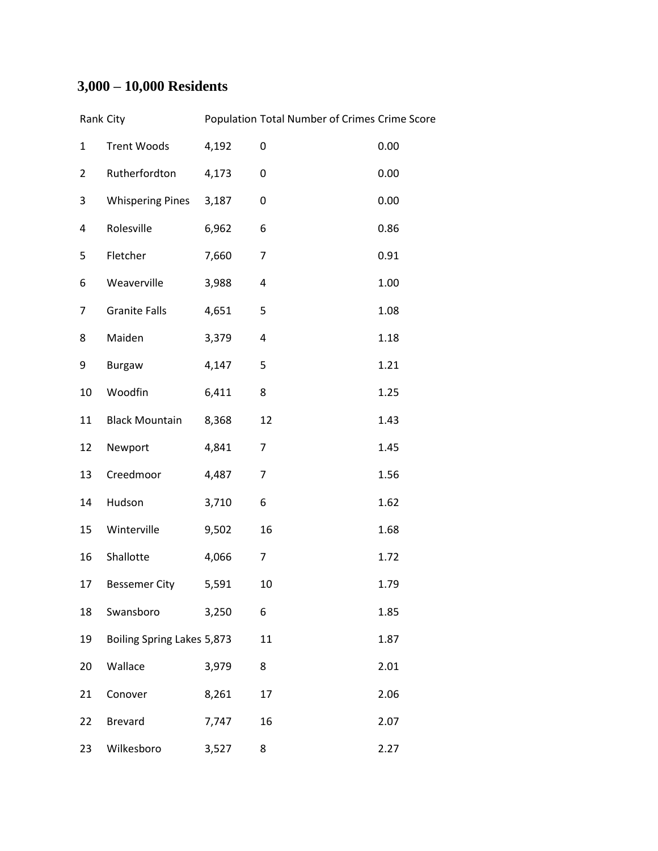## **3,000 – 10,000 Residents**

|                | Rank City                  |       | Population Total Number of Crimes Crime Score |      |
|----------------|----------------------------|-------|-----------------------------------------------|------|
| $\mathbf{1}$   | <b>Trent Woods</b>         | 4,192 | 0                                             | 0.00 |
| $\overline{2}$ | Rutherfordton              | 4,173 | 0                                             | 0.00 |
| 3              | <b>Whispering Pines</b>    | 3,187 | 0                                             | 0.00 |
| 4              | Rolesville                 | 6,962 | 6                                             | 0.86 |
| 5              | Fletcher                   | 7,660 | $\overline{7}$                                | 0.91 |
| 6              | Weaverville                | 3,988 | 4                                             | 1.00 |
| $\overline{7}$ | <b>Granite Falls</b>       | 4,651 | 5                                             | 1.08 |
| 8              | Maiden                     | 3,379 | 4                                             | 1.18 |
| 9              | <b>Burgaw</b>              | 4,147 | 5                                             | 1.21 |
| 10             | Woodfin                    | 6,411 | 8                                             | 1.25 |
| 11             | <b>Black Mountain</b>      | 8,368 | 12                                            | 1.43 |
| 12             | Newport                    | 4,841 | $\overline{7}$                                | 1.45 |
| 13             | Creedmoor                  | 4,487 | $\overline{7}$                                | 1.56 |
| 14             | Hudson                     | 3,710 | 6                                             | 1.62 |
| 15             | Winterville                | 9,502 | 16                                            | 1.68 |
| 16             | Shallotte                  | 4,066 | $\overline{7}$                                | 1.72 |
| 17             | <b>Bessemer City</b>       | 5,591 | $10\,$                                        | 1.79 |
| 18             | Swansboro                  | 3,250 | 6                                             | 1.85 |
| 19             | Boiling Spring Lakes 5,873 |       | 11                                            | 1.87 |
| 20             | Wallace                    | 3,979 | 8                                             | 2.01 |
| 21             | Conover                    | 8,261 | 17                                            | 2.06 |
| 22             | <b>Brevard</b>             | 7,747 | 16                                            | 2.07 |
| 23             | Wilkesboro                 | 3,527 | 8                                             | 2.27 |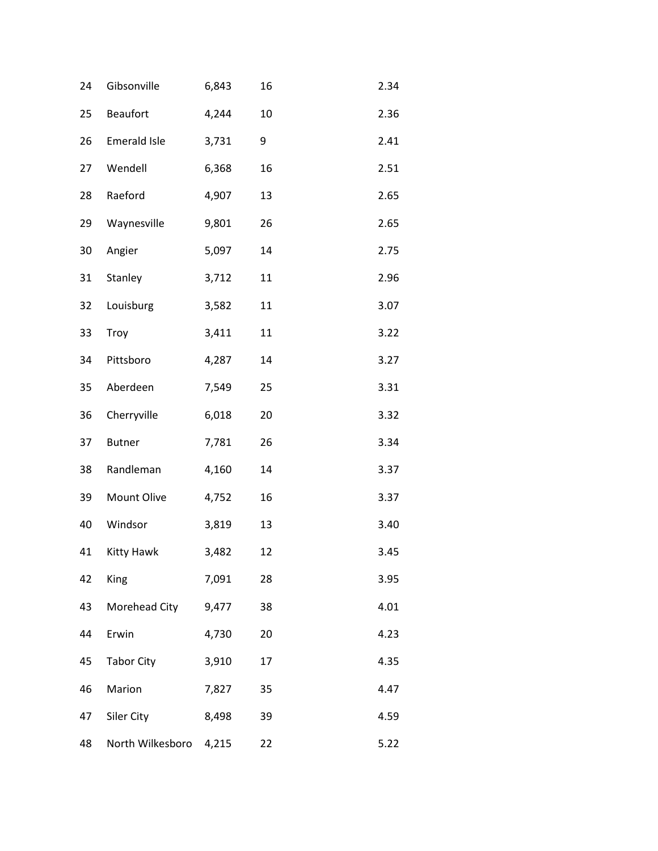| 24 | Gibsonville         | 6,843 | 16 | 2.34 |
|----|---------------------|-------|----|------|
| 25 | <b>Beaufort</b>     | 4,244 | 10 | 2.36 |
| 26 | <b>Emerald Isle</b> | 3,731 | 9  | 2.41 |
| 27 | Wendell             | 6,368 | 16 | 2.51 |
| 28 | Raeford             | 4,907 | 13 | 2.65 |
| 29 | Waynesville         | 9,801 | 26 | 2.65 |
| 30 | Angier              | 5,097 | 14 | 2.75 |
| 31 | Stanley             | 3,712 | 11 | 2.96 |
| 32 | Louisburg           | 3,582 | 11 | 3.07 |
| 33 | Troy                | 3,411 | 11 | 3.22 |
| 34 | Pittsboro           | 4,287 | 14 | 3.27 |
| 35 | Aberdeen            | 7,549 | 25 | 3.31 |
| 36 | Cherryville         | 6,018 | 20 | 3.32 |
| 37 | <b>Butner</b>       | 7,781 | 26 | 3.34 |
| 38 | Randleman           | 4,160 | 14 | 3.37 |
| 39 | Mount Olive         | 4,752 | 16 | 3.37 |
| 40 | Windsor             | 3,819 | 13 | 3.40 |
| 41 | Kitty Hawk          | 3,482 | 12 | 3.45 |
| 42 | King                | 7,091 | 28 | 3.95 |
| 43 | Morehead City       | 9,477 | 38 | 4.01 |
| 44 | Erwin               | 4,730 | 20 | 4.23 |
| 45 | <b>Tabor City</b>   | 3,910 | 17 | 4.35 |
| 46 | Marion              | 7,827 | 35 | 4.47 |
| 47 | Siler City          | 8,498 | 39 | 4.59 |
| 48 | North Wilkesboro    | 4,215 | 22 | 5.22 |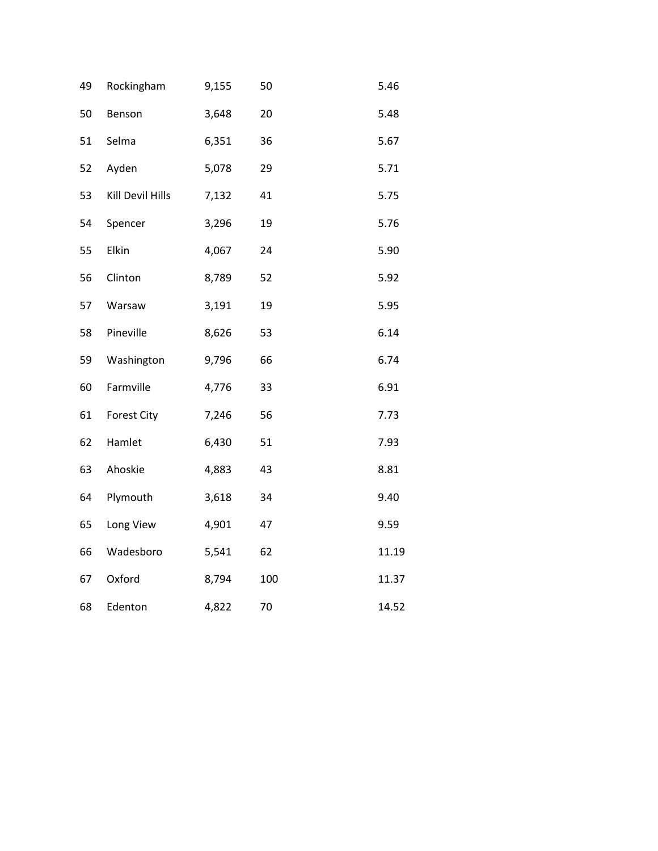| 49 | Rockingham       | 9,155 | 50  | 5.46  |
|----|------------------|-------|-----|-------|
| 50 | Benson           | 3,648 | 20  | 5.48  |
| 51 | Selma            | 6,351 | 36  | 5.67  |
| 52 | Ayden            | 5,078 | 29  | 5.71  |
| 53 | Kill Devil Hills | 7,132 | 41  | 5.75  |
| 54 | Spencer          | 3,296 | 19  | 5.76  |
| 55 | Elkin            | 4,067 | 24  | 5.90  |
| 56 | Clinton          | 8,789 | 52  | 5.92  |
| 57 | Warsaw           | 3,191 | 19  | 5.95  |
| 58 | Pineville        | 8,626 | 53  | 6.14  |
| 59 | Washington       | 9,796 | 66  | 6.74  |
| 60 | Farmville        | 4,776 | 33  | 6.91  |
| 61 | Forest City      | 7,246 | 56  | 7.73  |
| 62 | Hamlet           | 6,430 | 51  | 7.93  |
| 63 | Ahoskie          | 4,883 | 43  | 8.81  |
| 64 | Plymouth         | 3,618 | 34  | 9.40  |
| 65 | Long View        | 4,901 | 47  | 9.59  |
| 66 | Wadesboro        | 5,541 | 62  | 11.19 |
| 67 | Oxford           | 8,794 | 100 | 11.37 |
| 68 | Edenton          | 4,822 | 70  | 14.52 |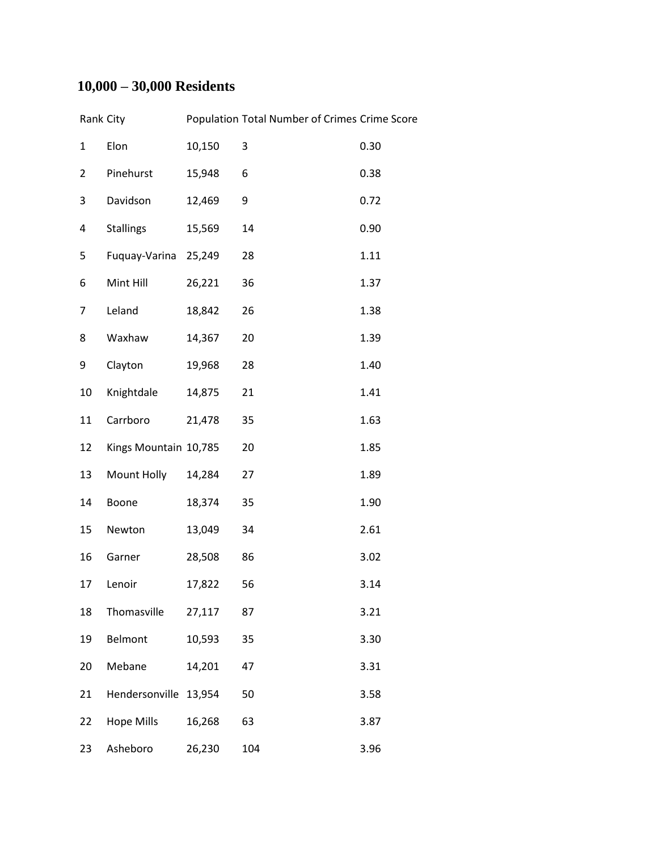## **10,000 – 30,000 Residents**

| Rank City      |                       |        | Population Total Number of Crimes Crime Score |      |
|----------------|-----------------------|--------|-----------------------------------------------|------|
| $\mathbf{1}$   | Elon                  | 10,150 | 3                                             | 0.30 |
| $\overline{2}$ | Pinehurst             | 15,948 | 6                                             | 0.38 |
| 3              | Davidson              | 12,469 | 9                                             | 0.72 |
| 4              | <b>Stallings</b>      | 15,569 | 14                                            | 0.90 |
| 5              | Fuquay-Varina         | 25,249 | 28                                            | 1.11 |
| 6              | Mint Hill             | 26,221 | 36                                            | 1.37 |
| 7              | Leland                | 18,842 | 26                                            | 1.38 |
| 8              | Waxhaw                | 14,367 | 20                                            | 1.39 |
| 9              | Clayton               | 19,968 | 28                                            | 1.40 |
| 10             | Knightdale            | 14,875 | 21                                            | 1.41 |
| 11             | Carrboro              | 21,478 | 35                                            | 1.63 |
| 12             | Kings Mountain 10,785 |        | 20                                            | 1.85 |
| 13             | Mount Holly           | 14,284 | 27                                            | 1.89 |
| 14             | Boone                 | 18,374 | 35                                            | 1.90 |
| 15             | Newton                | 13,049 | 34                                            | 2.61 |
| 16             | Garner                | 28,508 | 86                                            | 3.02 |
| 17             | Lenoir                | 17,822 | 56                                            | 3.14 |
| 18             | Thomasville           | 27,117 | 87                                            | 3.21 |
| 19             | Belmont               | 10,593 | 35                                            | 3.30 |
| 20             | Mebane                | 14,201 | 47                                            | 3.31 |
| 21             | Hendersonville        | 13,954 | 50                                            | 3.58 |
| 22             | <b>Hope Mills</b>     | 16,268 | 63                                            | 3.87 |
| 23             | Asheboro              | 26,230 | 104                                           | 3.96 |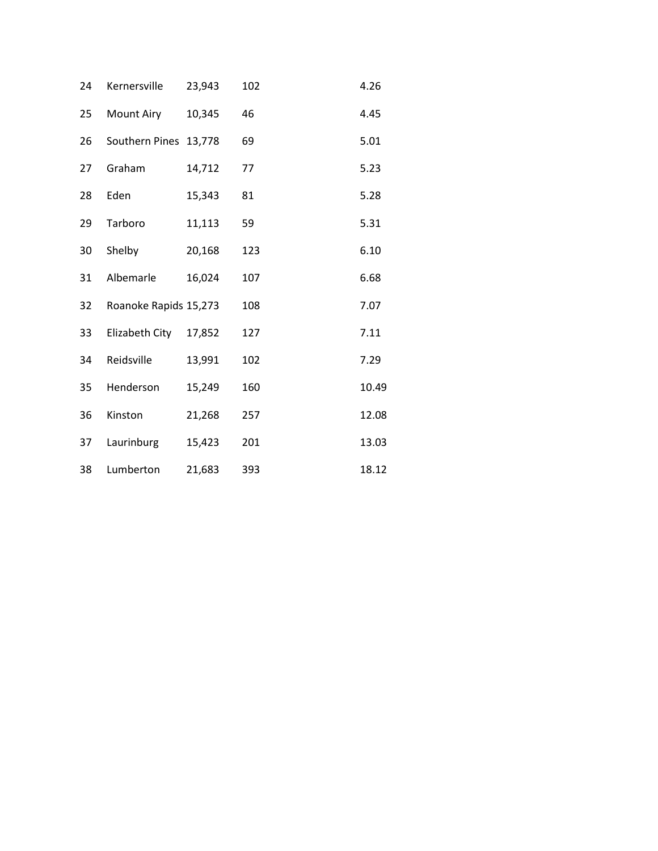| 24 | Kernersville          | 23,943 | 102 | 4.26  |
|----|-----------------------|--------|-----|-------|
| 25 | Mount Airy            | 10,345 | 46  | 4.45  |
| 26 | Southern Pines 13,778 |        | 69  | 5.01  |
| 27 | Graham                | 14,712 | 77  | 5.23  |
| 28 | Eden                  | 15,343 | 81  | 5.28  |
| 29 | Tarboro               | 11,113 | 59  | 5.31  |
| 30 | Shelby                | 20,168 | 123 | 6.10  |
| 31 | Albemarle             | 16,024 | 107 | 6.68  |
| 32 | Roanoke Rapids 15,273 |        | 108 | 7.07  |
| 33 | Elizabeth City        | 17,852 | 127 | 7.11  |
| 34 | Reidsville            | 13,991 | 102 | 7.29  |
| 35 | Henderson             | 15,249 | 160 | 10.49 |
| 36 | Kinston               | 21,268 | 257 | 12.08 |
| 37 | Laurinburg            | 15,423 | 201 | 13.03 |
| 38 | Lumberton             | 21,683 | 393 | 18.12 |